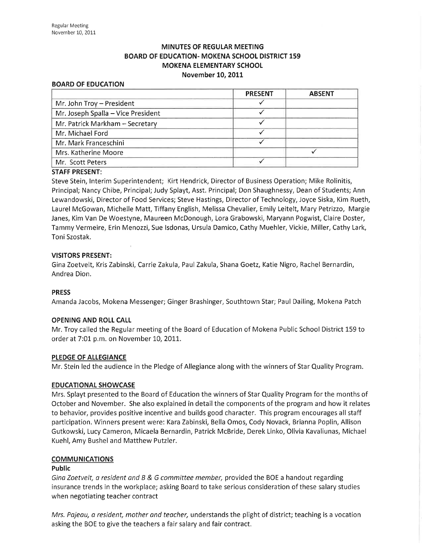# MINUTES OF REGULAR MEETING BOARD OF EDUCATION- MOKENA SCHOOL DISTRICT 159 MOKENA ELEMENTARY SCHOOL November 10, 2011

#### BOARD OF EDUCATION

|                                    | <b>PRESENT</b> | <b>ABSENT</b> |
|------------------------------------|----------------|---------------|
| Mr. John Troy - President          |                |               |
| Mr. Joseph Spalla - Vice President |                |               |
| Mr. Patrick Markham - Secretary    |                |               |
| Mr. Michael Ford                   |                |               |
| Mr. Mark Franceschini              |                |               |
| Mrs. Katherine Moore               |                |               |
| Mr. Scott Peters                   |                |               |

### STAFF PRESENT:

Steve Stein, Interim Superintendent; Kirt Hendrick, Director of Business Operation; Mike Rolinitis, Principal; Nancy Chibe, Principal; Judy Splayt, Asst. Principal; Don Shaughnessy, Dean of Students; Ann Lewandowski, Director of Food Services; Steve Hastings, Director of Technology, Joyce Siska, Kim Rueth, Laurel McGowan, Michelle Matt, Tiffany English, Melissa Chevalier, Emily Leitelt, Mary Petrizzo, Margie Janes, Kim Van De Woestyne, Maureen McDonough, Lora Grabowski, Maryann Pogwist, Claire Doster, Tammy Vermeire, Erin Menozzi, Sue lsdonas, Ursula Damico, Cathy Muehler, Vickie, Miller, Cathy Lark, Toni Szostak,

### VISITORS PRESENT:

Gina Zoetvelt, Kris Zabinski, Carrie Zakula, Paul Zakula, Shana Goetz, Katie Nigro, Rachel Bernardin, Andrea Dion.

### PRESS

Amanda Jacobs, Mokena Messenger; Ginger Brashinger, Southtown Star; Paul Dailing, Mokena Patch

#### OPENING AND ROLL CALL

Mr, Troy called the Regular meeting of the Board of Education of Mokena Public School District 159 to order at 7:01 p.m. on November 10, 2011.

#### PLEDGE OF ALLEGIANCE

Mr. Stein led the audience in the Pledge of Allegiance along with the winners of Star Quality Program.

### EDUCATIONAL SHOWCASE

Mrs. Splayt presented to the Board of Education the winners of Star Quality Program for the months of October and November. She also explained in detail the components of the program and how it relates to behavior, provides positive incentive and builds good character. This program encourages all staff participation. Winners present were: Kara Zabinski, Bella Omos, Cody Novack, Brianna Poplin, Allison Gutkowski, Lucy Cameron, Micaela Bernardin, Patrick McBride, Derek Linko, Olivia Kavaliunas, Michael Kuehl, Amy Bushel and Matthew Putzler.

#### **COMMUNICATIONS**

#### Public

Gina Zoetvelt, a resident and B & G committee member, provided the BOE a handout regarding insurance trends in the workplace; asking Board to take serious consideration of these salary studies when negotiating teacher contract

Mrs. Pajeau, a resident, mother and teacher, understands the plight of district; teaching is a vocation asking the BOE to give the teachers a fair salary and fair contract.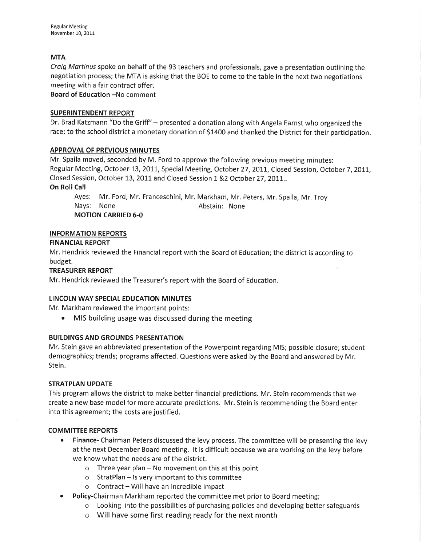# **MTA**

Craig Martinus spoke on behalf of the 93 teachers and professionals, gave a presentation outlining the negotiation process; the MTA is asking that the BOE to come to the table in the next two negotiations meeting with a fair contract offer.

Board of Education -No comment

## SUPERINTENDENT REPORT

Dr. Brad Katzmann "Do the Griff" - presented a donation along with Angela Earnst who organized the race; to the school district a monetary donation of 51400 and thanked the District for their participation.

## APPROVAL OF PREVIOUS MINUTES

Mr. Spalla moved, seconded by M. Ford to approve the following previous meeting minutes: Regular Meeting, October 13, 2011, Special Meeting, October 27, 2011, Closed Session, October 7, 2011, Closed Session, October 13, 2011 and Closed Session 1 &2 October 27, 2011...

## On Roll Call

Ayes: Mr. Ford, Mr. Franceschini, Mr. Markham, Mr. Peters, Mr. Spalla, Mr. Troy Nays: None **Abstain:** None MOTION CARRIED 6-0

## INFORMATION REPORTS

## FINANCIAI REPORT

Mr. Hendrick reviewed the Financial report with the Board of Education; the district is according to budget.

## TREASURER REPORT

Mr. Hendrick reviewed the Treasurer's report with the Board of Education.

## LINCOLN WAY SPECIAL EDUCATION MINUTES

Mr. Markham reviewed the important points:

• MIS building usage was discussed during the meeting

## BUILDINGS AND GROUNDS PRESENTATION

Mr. Stein gave an abbreviated presentation of the Powerpoint regarding MIS; possible closure; student demographics; trends; programs affected. Questions were asked by the Board and answered by Mr. Stein.

## STRATPLAN UPDATE

This program allows the district to make better financial predictions. Mr. Stein recommends that we create a new base model for more accurate predictions. Mr. Stein is recommending the Board enter into this agreement; the costs are justified.

## COMMITTEE REPORTS

- Finance- Chairman Peters discussed the levy process. The committee will be presenting the levy at the next December Board meeting. lt is difficult because we are working on the levy before we know what the needs are of the district.
	- $\circ$  Three year plan No movement on this at this point
	- o StratPlan ls very important to this committee
	- $\circ$  Contract Will have an incredible impact
- Policy-Chairman Markham reported the committee met prior to Board meeting;
	- o Looking into the possibilities of purchasing policies and developing better safeguards
	- o Will have some first reading ready for the next month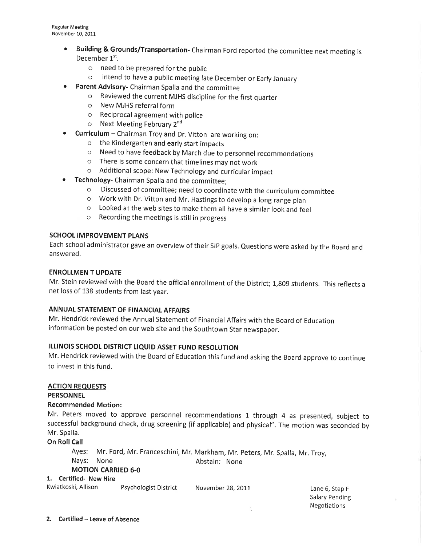- **Building & Grounds/Transportation-** Chairman Ford reported the committee next meeting is December 1<sup>st</sup>.
	- o need to be prepared for the public
	- o intend to have a public meeting late December or Early January
- **•** Parent Advisory- Chairman Spalla and the committee
	- o Reviewed the current MJHS discipline for the first quarter
	- o New MJHS referralform
	- o Reciprocal agreement with police
	- o Next Meeting February 2nd
- Curriculum Chairman Troy and Dr. Vitton are working on:
	- o the Kindergarten and early start impacts
	- o Need to have feedback by March due to personnel recommendations
	- o There is some concern that timelines may not work
	- o Additional scope: New Technology and curricular impact
- **Technology-** Chairman Spalla and the committee;
	- o Discussed of committee; need to coordinate with the curriculum committee
	- o work with Dr. vitton and Mr. Hastings to develop a long range plan
	- o Looked at the web sites to make them all have a similar look and feel
	- o Recording the meetings is still in progress

## SCHOOL IMPROVEMENT PLANS

Each school administrator gave an overview of their SIP goals. Questions were asked by the Board and answered.

# ENROLLMEN T UPDATE

Mr. Stein reviewed with the Board the official enrollment of the District; 1,809 students. This reflects a net loss of 138 students from last year.

## ANNUAL STATEMENT OF FINANCIAL AFFAIRS

Mr. Hendrick reviewed the Annual Statement of Financial Affairs with the Board of Education information be posted on our web site and the southtown star newspaper.

# ILLINOIS SCHOOL DISTRICT LIQUID ASSET FUND RESOLUTION

Mr. Hendrick reviewed with the Board of Education this fund and asking the Board approve to continue to invest in this fund.

## ACTION REQUESTS

**PERSONNEL** 

## Recommended Motion:

Mr. Peters moved to approve personnel recommendations 1 through 4 as presented, subject to successful background check, drug screening (if applicable) and physical". The motion was seconded by Mr. Spalla.

# On Roll Call

Ayes: Mr. Ford, Mr. Franceschini, Mr. Markham, Mr. Peters, Mr. Spalla, Mr. Troy, Nays: None **Abstain:** None MOTION CARRIED 6-0

## 1. Certified- New Hire

Kwiatkoski, Allison Psychologist District November 28, 2011 and Eane 6, Step F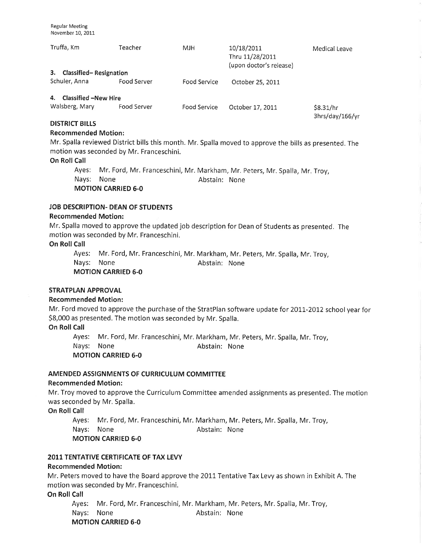| Truffa, Km<br>3.<br><b>Classified-Resignation</b> | Teacher     | MJH          | 10/18/2011<br>Thru 11/28/2011<br>(upon doctor's release) | Medical Leave |
|---------------------------------------------------|-------------|--------------|----------------------------------------------------------|---------------|
| Schuler, Anna                                     | Food Server | Food Service | October 25, 2011                                         |               |
| 4. Classified - New Hire<br>Walsberg, Mary        | Food Server | Food Service | October 17, 2011                                         | \$8.31/hr     |

DISTRICT BILLS

### Recommended Motion:

Mr. Spalla reviewed District bills this month. Mr. Spalla moved to approve the bills as presented. The motion was seconded by Mr. Franceschini.

3hrs/day/166/yr

### On Roll Call

Ayes: Mr. Ford, Mr. Franceschini, Mr. Markham, Mr. peters, Mr. Spalla, Mr. Troy, Nays: None **Abstain:** None MOTION CARRIED 6-0

## JOB DESCRIPTION- DEAN OF STUDENTS

### Recommended Motion:

Mr. Spalla moved to approve the updated job description for Dean of Students as presented. The motion was seconded by Mr. Franceschini.

#### On Roll Call

Ayes: Mr. Ford, Mr. Franceschini, Mr. Markham, Mr. Peters, Mr. Spalla, Mr, Troy, Nays: None **Abstain:** None MOTION CARRIED 6-0

## STRATPLAN APPROVAL

### Recommended Motion:

Mr. Ford moved to approve the purchase of the StratPlan software update for 2011-2012 school year for 58,000 as presented. The motion was seconded by Mr. Spalla,

## On Roll Call

Ayes: Mr. Ford, Mr. Franceschini, Mr. Markham, Mr. Peters, Mr. Spalla, Mr. Troy, Nays: None **Abstain:** None MOTION CARRIED 6-0

### AMENDED ASSIGNMENTS OF CURRICULUM COMMITTEE

### Recommended Motion:

Mr, Troy moved to approve the Curriculum Committee amended assignments as presented. The motion was seconded by Mr, Spalla,

On Roll Call

Ayes: Mr. Ford, Mr. Franceschini, Mr. Markham, Mr. Peters, Mr. Spalla, Mr. Troy,

Nays: None **Abstain:** None

### **MOTION CARRIED 6-0**

### 2011 TENTATIVE CERTIFICATE OF TAX LEVY

### Recommended Motion:

Mr. Peters moved to have the Board approve the 2011 Tentative Tax Levy as shown in Exhibit A. The motion was seconded by Mr. Franceschini.

On Roll Call

Ayes: Mr. Ford, Mr. Franceschini, Mr. Markham, Mr. Peters, Mr. Spalla, Mr. Troy, Nays: None **Abstain:** None MOTION CARRIED 6-0